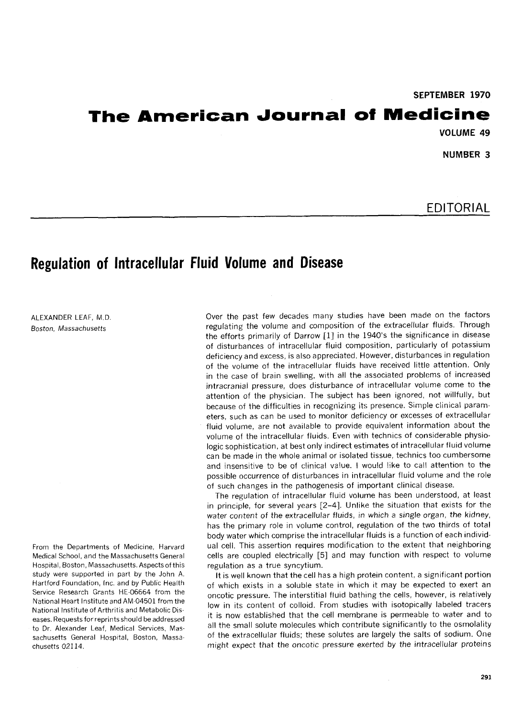**SEPTEMBER 1970** 

## **The American Journal of Medicine**

**VOLUME 49** 

**NUMBER 3** 

## **EDITORIAL**

## **Regulation of Intracellular Fluid Volume and Disease**

ALEXANDER LEAF, M.D. *Boston, Massachusetts* 

From the Departments of Medicine, Harvard Medical School, and the Massachusetts General Hospital, Boston, Massachusetts. Aspects of this study were supported in part by the John A. Hartford Foundation, Inc. and by Public Health Service Research Grants HE-06664 from the National Heart Institute and AM-04501 from the National Institute of Arthritis and Metabolic Diseases. Requests for reprints should be addressed to Dr. Alexander Leaf, Medical Services, Massachusetts General Hospital, Boston, Massachusetts 02114.

Over the past few decades many studies have been made on the factors regulating the volume and composition of the extracellular fluids. Through the efforts primarily of Darrow [1] in the 1940's the significance in disease of disturbances of intracellular fluid composition, particularly of potassium deficiency and excess, is also appreciated. However, disturbances in regulation of the volume of the intracellular fluids have received little attention. Only in the case of brain swelling, with all the associated problems of increased intracraniai pressure, does disturbance of intracellular volume come to the attention of the physician. The subject has been ignored, not willfully, but because of the difficulties in recognizing its presence. Simple clinical parameters, such as can be used to monitor deficiency or excesses of extracellular fluid volume, are not available to provide equivalent information about the volume of the intracellular fluids. Even with technics of considerable physiologic sophistication, at best only indirect estimates of intracellular fluid volume can be made in the whole animal or isolated tissue, technics too cumbersome and insensitive to be of clinical value. I would like to call attention to the possible occurrence of disturbances in intracellular fluid volume and the role of such changes in the pathogenesis of important clinical disease.

The regulation of intracellular fluid volume has been understood, at least in principle, for several years [2-4]. Unlike the situation that exists for the water *content* of the *extracellular* fluids, in which a *single* organ, the kidney, has the primary role in volume control, regulation of the two thirds of total body water which comprise the intracellular fluids is a function of each individual cell. This assertion requires modification to the extent that neighboring cells are coupled electrically [5] and may function with respect to volume regulation as a true syncytium.

It is well known that the cell has a high protein content, a significant portion of which exists in a soluble state in which it may be expected to exert an oncotic pressure. The interstitial fluid bathing the cells, however, is relatively low in its content of colloid. From studies with isotopically labeled tracers it is now established that the cell membrane is permeable to water and to all the small solute molecules which contribute significantly to the osmolality of the extracellular fluids; these solutes are largely the salts of sodium. One might expect that the oncotic pressure exerted by the intracellular proteins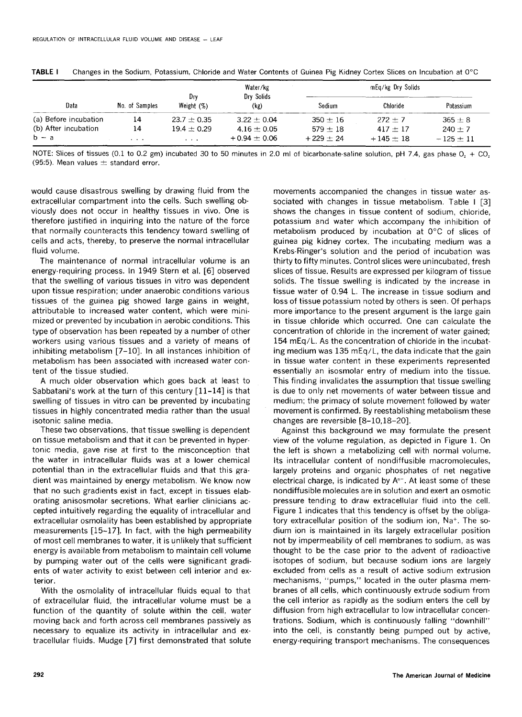|                       | No. of Samples | Drv<br>Weight $(\%)$ | Water/kg<br>Dry Solids<br>(kg) | mEq/kg Dry Solids |              |             |  |
|-----------------------|----------------|----------------------|--------------------------------|-------------------|--------------|-------------|--|
| Data                  |                |                      |                                | Sodium            | Chloride     | Potassium   |  |
| (a) Before incubation | 14             | $23.7 \pm 0.35$      | $3.22 \pm 0.04$                | $350 \pm 16$      | $272 + 7$    | $365 + 8$   |  |
| (b) After incubation  | 14             | $19.4 \pm 0.29$      | $4.16 + 0.05$                  | $579 + 18$        | $417 \pm 17$ | $240 + 7$   |  |
| $b - a$               | $\cdots$       | $\cdots$             | $+0.94 + 0.06$                 | $+229 \pm 24$     | $+145 + 18$  | $-125 + 11$ |  |

|  | TABLE I Changes in the Sodium, Potassium, Chloride and Water Contents of Guinea Pig Kidney Cortex Slices on Incubation at 0°C |  |  |  |  |  |  |
|--|-------------------------------------------------------------------------------------------------------------------------------|--|--|--|--|--|--|
|--|-------------------------------------------------------------------------------------------------------------------------------|--|--|--|--|--|--|

NOTE: Slices of tissues (0.1 to 0.2 gm) incubated 30 to 50 minutes in 2.0 ml of bicarbonate-saline solution, pH 7.4, gas phase  $O<sub>2</sub> + CO<sub>2</sub>$ (95:5). Mean values  $\pm$  standard error.

would cause disastrous swelling by drawing fluid from the extracellular compartment into the cells. Such swelling obviously does not occur in healthy tissues in vivo. One is therefore justified in inquiring into the nature of the force that normally counteracts this tendency toward swelling of cells and acts, thereby, to preserve the normal intracellular fluid volume.

The maintenance of normal intracellular volume is an energy-requiring process. In 1949 Stern et al. [6] observed that the swelling of various tissues in vitro was dependent upon tissue respiration; under anaerobic conditions various tissues of the guinea pig showed large gains in weight, attributable to increased water content, which were minimized or prevented by incubation in aerobic conditions. This type of observation has been repeated by a number of other workers using various tissues and a variety of means of inhibiting metabolism [7-10]. In all instances inhibition of metabolism has been associated with increased water content of the tissue studied.

A much older observation which goes back at least to Sabbatani's work at the turn of this century [11-14] is that swelling of tissues in vitro can be prevented by incubating tissues in highly concentrated media rather than the usual isotonic saline media.

These two observations, that tissue swelling is dependent on tissue metabolism and that it can be prevented in hypertonic media, gave rise at first to the misconception that the water in intracellular fluids was at a lower chemica potential than in the extracellular fluids and that this gradient was maintained by energy metabolism. We know now that no such gradients exist in fact. except in tissues elaborating anisosmolar secretions. What earlier clinicians accepted intuitively regarding the equality of intracellular and extracellular osmolality has been established by appropriate measurements [15-17]. In fact. with the high permeability of most cell membranes to water, it is unlikely that sufficient energy is available from metabolism to maintain cell volume by pumping water out of the cells were significant gradients of water activity to exist between cell interior and exterior.

With the osmolality of intracellular fluids equal to that of extracellular fluid, the intracellular volume must be a function of the quantity of solute within the cell, water moving back and forth across cell membranes passively as necessary to equalize its activity in intracellular and extracellular fluids. Mudge [7] first demonstrated that solute movements accompanied the changes in tissue water associated with changes in tissue metabolism. Table I [3] shows the changes in tissue content of sodium, chloride, potassium and water which accompany the inhibition of metabolism produced by incubation at  $0^{\circ}$ C of slices of guinea pig kidney cortex. The incubating medium was a Krebs-Ringer's solution and the period of incubation was thirty to fifty minutes. Control slices were unincubated, fresh slices of tissue. Results are expressed per kilogram of tissue solids. The tissue swelling is indicated by the increase in tissue water of 0.94 L. The increase in tissue sodium and loss of tissue potassium noted by others is seen. Of perhaps more importance to the present argument is the large gain in tissue chloride which occurred. One can calculate the Concentration of chloride in the increment of water gained; 154 mEq/L. As the concentration of chloride in the incubating medium was 135 mEq/L, the data indicate that the gain in tissue water content in these experiments represented essentially an isosmolar entry of medium into the tissue. This finding invalidates the assumption that tissue swelling is due to only net movements of water between tissue and medium; the primacy of solute movement followed by water movement is confirmed. By reestablishing metabolism these changes are reversible [8-10,18-20].

Against this background we may formulate the present view of the volume regulation, as depicted in Figure 1. On the left is shown a metabolizing cell with normal volume. Its intracellular content of nondiffusible macromolecules, largely proteins and organic phosphates of net negative electrical charge, is indicated by  $A^{n-}$ . At least some of these nondiffusible molecules are in solution and exert an osmotic pressure tending to draw extracellular fluid into the cell. Figure 1 indicates that this tendency is offset by the obligatory extracellular position of the sodium ion, Na+. The sodium ion is maintained in its largely extracellular position not by impermeability of cell membranes to sodium, as was thought to be the case prior to the advent of radioactive isotopes of sodium, but because sodium ions are largely excluded from cells as a result of active sodium extrusion mechanisms, "pumps," located in the outer plasma membranes of all cells, which continuously extrude sodium from the cell interior as rapidly as the sodium enters the cell by diffusion from high extracellular to low intracellular concentrations. Sodium, which is continuously falling "downhill" into the cell, is constantly being pumped out by active, energy-requiring transport mechanisms. The consequences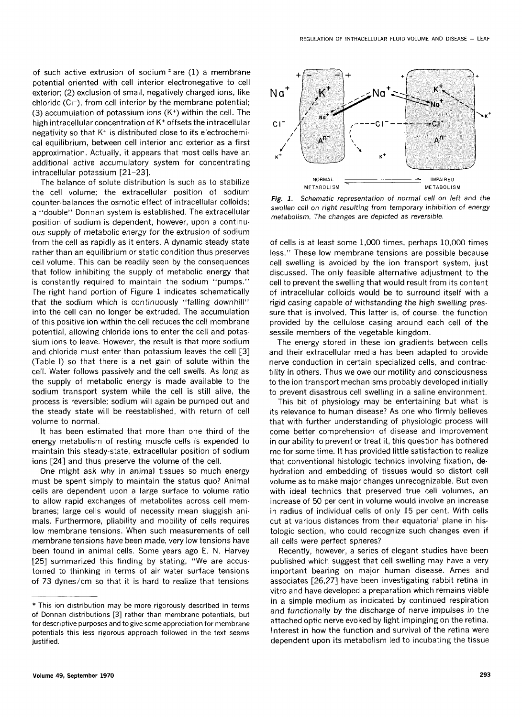of such active extrusion of sodium  $*$  are (1) a membrane potential oriented with cell interior electronegative to cell exterior; (2) exclusion of small, negatively charged ions, like chloride (CI-), from cell interior by the membrane potential; (3) accumulation of potassium ions  $(K^+)$  within the cell. The high intracellular concentration of  $K<sup>+</sup>$  offsets the intracellular negativity so that  $K^+$  is distributed close to its electrochemical equilibrium, between cell interior and exterior as a first approximation. Actually, it appears that most cells have an additional active accumulatory system for concentrating intracellular potassium [21-23].

The balance of solute distribution is such as to stabilize the cell volume; the extracellular position of sodium counter-balances the osmotic effect of intracellular colloids; a "double" Donnan system is established. The extracellular position of sodium is dependent, however, upon a continu*ous* supply of metabolic energy for the extrusion of sodium from the cell as rapidly as it enters. A dynamic steady state rather than an equilibrium or static condition thus preserves cell volume. This can be readily seen by the consequences that follow inhibiting the supply of metabolic energy that is constantly required to maintain the sodium "pumps." The right hand portion of Figure 1 indicates schematically that the sodium which is continuously "falling downhill" into the cell can no longer be extruded. The accumulation of this positive ion within the cell reduces the cell membrane potential, allowing chloride ions to enter the cell and potassium ions to leave. However, the result is that more sodium and chloride must enter than potassium leaves the cell [3] (Table I) so that there is a net gain of solute within the cell. Water follows passively and the cell swells. As long as the supply of metabolic energy is made available to the sodium transport system while the cell is still alive, the process is reversible; sodium will again be pumped out and the steady state will be reestablished, with return of cell volume to normal.

It has been estimated that more than one third of the energy metabolism of resting muscle cells is expended to maintain this steady-state, extracellular position of sodium ions [24] and thus preserve the volume of the cell.

One might ask why in animal tissues so much energy must be spent simply to maintain the status quo? Animal cells are dependent upon a large surface to volume ratio to allow rapid exchanges of metabolites across cell membranes; large cells would of necessity mean sluggish animals. Furthermore, pliability and mobility of cells requires low membrane tensions. When such measurements of cell *membrane* tensions have been made, very low tensions have been found in animal cells. Some years ago E. N. Harvey [25] summarized this finding by stating, "We are accustomed to thinking in terms of air water surface tensions of 73 dynes/cm so that it is hard to realize that tensions



*Fig. 1. Schematic representation of normal cell on left and the swollen cell on right resulting from temporary inhibition of energy metabolism.* The *changes are depicted* as *reversible.* 

of cells is at least some 1,000 times, perhaps 10,000 times less." These low membrane tensions are possible because cell swelling is avoided by the ion transport system, just discussed. The only feasible alternative adjustment to the cell to prevent the swelling that would result from its content of intracellular colloids would be to surround itself with a rigid casing capable of withstanding the high swelling pressure that is involved. This latter is, of course, the function provided by the cellulose casing around each cell of the sessile members of the vegetable kingdom.

The energy stored in these ion gradients between cells and their extracellular media has been adapted to provide nerve conduction in certain specialized cells, and contractility in others. Thus we owe our motility and consciousness to the ion transport mechanisms probably developed initially to prevent disastrous cell swelling in a saline environment.

This bit of physiology may be entertaining but what is its relevance to human disease? As one who firmly believes that with further understanding of physiologic process will come better comprehension of disease and improvement in our ability to prevent or treat it, this question has bothered me for some time. It has provided little satisfaction to realize that conventional histologic technics involving fixation, dehydration and embedding of tissues would so distort cell volume as to make major changes unrecognizable. But even with ideal technics that preserved true cell volumes, an increase of 50 per cent in volume would involve an increase in radius of individual cells of only 15 per cent. With cells cut at various distances from their equatorial plane in histologic section, who could recognize such changes even if all cells were perfect spheres?

Recently, however, a series of elegant studies have been published which suggest that cell swelling may have a very important bearing on major human disease. Ames and associates [26,27] have been investigating rabbit retina in vitro and have developed a preparation which remains viable in a simple medium as indicated by continued respiration and functionally by the discharge of nerve impulses in the attached optic nerve evoked by light impinging on the retina. Interest in how the function and survival of the retina were dependent upon its metabolism led to incubating the tissue

<sup>&#</sup>x27;~ This ion distribution may be more rigorously described in terms of Donnan distributions [3] rather than membrane potentials, but for descriptive purposes and to give some appreciation for membrane potentials this less rigorous approach followed in the text seems justified.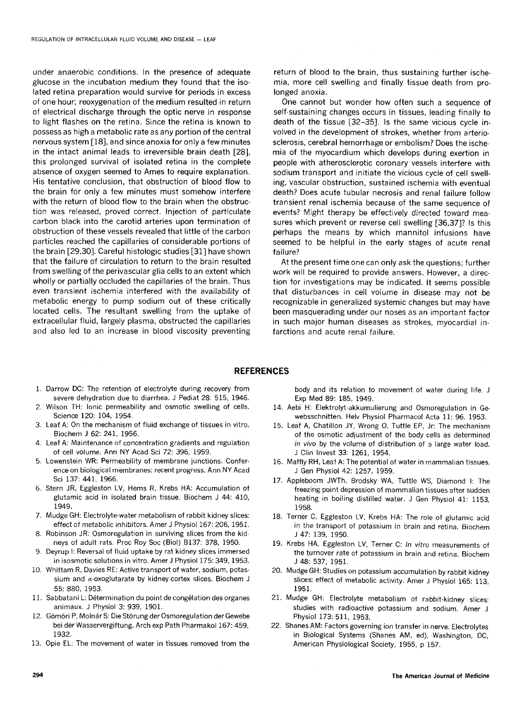under anaerobic conditions. In the presence of adequate glucose in the incubation medium they found that the isolated retina preparation would survive for periods in excess of one hour; reoxygenation of the medium resulted in return of electrical discharge through the optic nerve in response to light flashes on the retina. Since the retina is known to possess as high a metabolic rate as any portion of the central nervous system [18], and since anoxia for only a few minutes in the intact animal leads to irreversible brain death [28], this prolonged survival of isolated retina in the complete absence of oxygen seemed to Ames to require explanation. His tentative conclusion, that obstruction of blood flow to the brain for only a few minutes must somehow interfere with the return of blood flow to the brain when the obstruction was released, proved correct. Injection of particulate carbon black into the carotid arteries upon termination of obstruction of these vessels revealed that little of the carbon particles reached the capillaries of considerable portions of the brain [29,30]. Careful histologic studies [31] have shown that the failure of circulation to return to the brain resulted from swelling of the perivascular gila cells to an extent which wholly or partially occluded the capillaries of the brain. Thus even transient ischemia interfered with the availability of metabolic energy to pump sodium out of these critically located cells. The resultant swelling from the uptake of extracellular fluid, largely plasma, obstructed the capillaries and also led to an increase in blood viscosity preventing

return of blood to the brain, thus sustaining further ischemia, more cell swelling and finally tissue death from prolonged anoxia.

One cannot but wonder how often such a sequence of self-sustaining changes occurs in tissues, leading finally to death of the tissue [32-35]. Is the same vicious cycle involved in the development of strokes, whether from arteriosclerosis, cerebral hemorrhage or embolism? Does the ischemia of the myocardium which develops during exertion in people with atherosclerotic coronary vessels interfere with sodium transport and initiate the vicious cycle of cell swelling, vascular obstruction, sustained ischemia with eventual death? Does acute tubular necrosis and renal failure follow transient renal ischemia because of the same sequence of events? Might therapy be effectively directed toward measures which prevent or reverse cell swelling [36,37]? Is this perhaps the means by which mannitol infusions have seemed to be helpful in the early stages of acute renal failure?

At the present time one can only ask the questions; further work will be required to provide answers. However, a direction for investigations may be indicated. It seems possible that disturbances in cell volume in disease may not be recognizable in generalized systemic changes but may have been masquerading under our noses as an important factor in such major human diseases as strokes, myocardial infarctions and acute renal failure.

## **REFERENCES**

- 1. Darrow DC: The retention of electrolyte during recovery from severe dehydration due to diarrhea. J Pediat 28: 515, 1946.
- 2. Wilson TH: Ionic permeability and osmotic swelling of cells. Science 120: 104, 1954.
- 3. Leaf A: On the mechanism of fluid exchange of tissues in vitro. Biochem J 62: 241, 1956.
- 4. Leaf A: Maintenance of concentration gradients and regulation of cell volume. Ann NY Acad Sci 72: 396, 1959.
- 5. Lowenstein WR: Permeability of membrane junctions. Conference on biological membranes: recent progress. Ann NY Acad Sci 137: 441, 1966.
- 6. Stern JR, Eggleston LV, Hems R, Krebs HA: Accumulation of glutamic acid in isolated brain tissue. Biochem J 44: 410, 1949.
- 7. Mudge GH: Electrolyte-water metabolism of rabbit kidney slices: effect of metabolic inhibitors. Amer J Physiol 167: 206, 1951.
- 8. Robinson JR: Osmoregulation in surviving slices from the kidneys of adult rats. Proc Roy Soc (Biol) B137: 378, 1950.
- 9. Deyrup I: Reversal of fluid uptake by rat kidney slices immersed in isosmotic solutions in vitro. Amer J Physiol 175: 349, 1953.
- 10. Whittam R, Davies RE: Active transport of water, sodium, potassium and  $\alpha$ -oxoglutarate by kidney-cortex slices. Biochem J 55: 880, 1953.
- 11. Sabbatani L: Détermination du point de congélation des organes animaux. J Physiol 3: 939, 1901.
- 12. Gömöri P, Molnár S: Die Störung der Osmoregulation der Gewebe bei der Wasservergiftung. Arch exp Path Pharmakol 167: 459, 1932.
- 13. Opie EL: The movement of water in tissues removed from the

body and its relation to movement of water during life. J Exp Med 89: 185, 1949.

- 14. Aebi H: Elektrolyt-akkumulierung and Osmoregulation in Gewebsschnitten. Helv Physiol Pharmacol Acta 11: 96, 1953.
- 15. Leaf A, Chatillon JY, Wrong O, Tuttle EP, Jr: The mechanism of the osmotic adjustment of the body cells as determined *in vivo* by the volume of distribution of a large water load. J Clin Invest 33: 1261, 1954.
- 16. Maffly RH, Leaf A: The potential of water in mammalian tissues. J Gen Physiol 42: 1257, 1959.
- 17. Appleboom JWTh, Brodsky WA, Tuttle WS, Diamond I: The freezing point depression of mammalian tissues after sudden heating in boiling distilled water. J Gen Physiol 41: 1153, 1958.
- 18. Terner C, Eggleston LV, Krebs HA: The role of glutamic acid in the transport of potassium in brain and retina. Biochem J 47: 139, 1950.
- 19. Krebs HA, Eggleston LV, Terner C: *In vitro* measurements of the turnover rate of potassium in brain and retina. Biochem J 48: 537, 1951.
- 20. Mudge GH: Studies on potassium accumulation by rabbit kidney slices: effect of metabolic activity. Amer J Physiol 165: 113, 1951.
- 21. Mudge GH: Electrolyte metabolism of rabbit-kidney slices: studies with radioactive potassium and sodium. Amer J Physiol 173: 511, 1953.
- 22. Shanes AM: Factors governing ion transfer in nerve. Electrolytes in Biological Systems (Shanes AM, ed), Washington, DC, American Physiological Society, 1955, p 157.